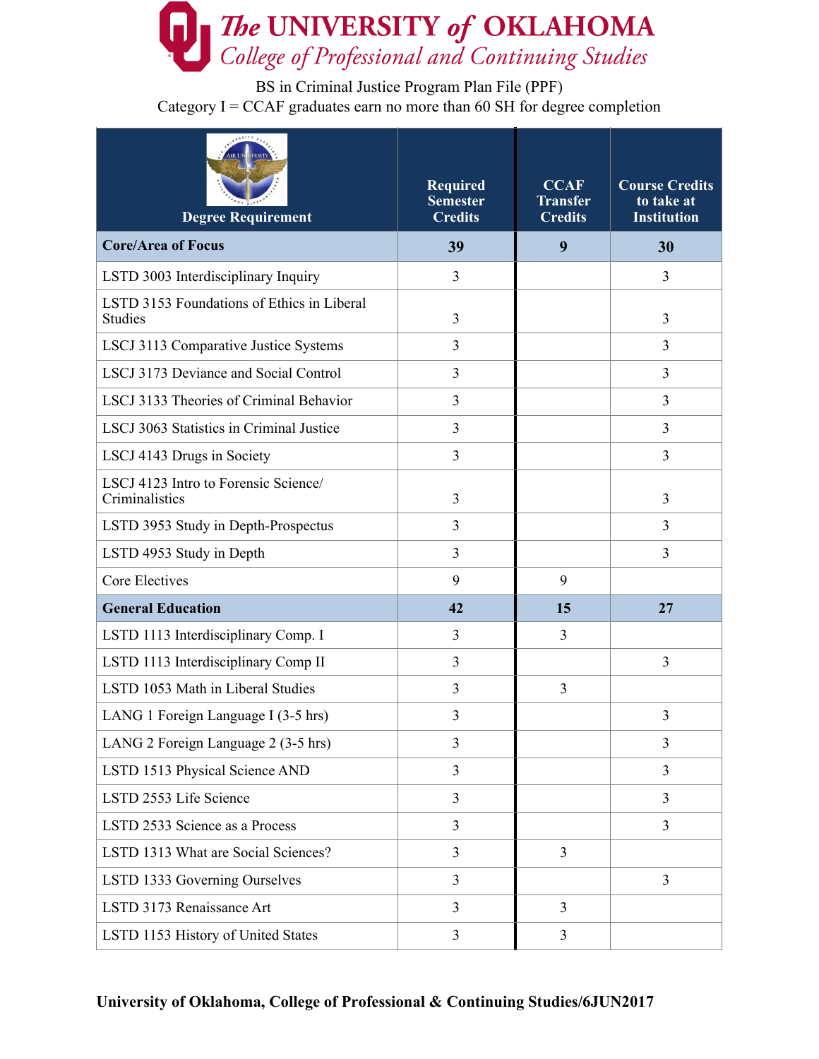

BS in Criminal Justice Program Plan File (PPF) Category  $I = CCAF$  graduates earn no more than 60 SH for degree completion

| <b>Degree Requirement</b>                                    | <b>Required</b><br><b>Semester</b><br><b>Credits</b> | <b>CCAF</b><br><b>Transfer</b><br><b>Credits</b> | <b>Course Credits</b><br>to take at<br><b>Institution</b> |
|--------------------------------------------------------------|------------------------------------------------------|--------------------------------------------------|-----------------------------------------------------------|
| <b>Core/Area of Focus</b>                                    | 39                                                   | 9                                                | 30                                                        |
| LSTD 3003 Interdisciplinary Inquiry                          | 3                                                    |                                                  | 3                                                         |
| LSTD 3153 Foundations of Ethics in Liberal<br><b>Studies</b> | 3                                                    |                                                  | 3                                                         |
| LSCJ 3113 Comparative Justice Systems                        | 3                                                    |                                                  | 3                                                         |
| LSCJ 3173 Deviance and Social Control                        | $\overline{3}$                                       |                                                  | $\overline{3}$                                            |
| LSCJ 3133 Theories of Criminal Behavior                      | 3                                                    |                                                  | 3                                                         |
| LSCJ 3063 Statistics in Criminal Justice                     | 3                                                    |                                                  | 3                                                         |
| LSCJ 4143 Drugs in Society                                   | 3                                                    |                                                  | 3                                                         |
| LSCJ 4123 Intro to Forensic Science/<br>Criminalistics       | 3                                                    |                                                  | 3                                                         |
| LSTD 3953 Study in Depth-Prospectus                          | 3                                                    |                                                  | 3                                                         |
| LSTD 4953 Study in Depth                                     | 3                                                    |                                                  | 3                                                         |
| <b>Core Electives</b>                                        | 9                                                    | 9                                                |                                                           |
| <b>General Education</b>                                     | 42                                                   | 15                                               | 27                                                        |
| LSTD 1113 Interdisciplinary Comp. I                          | 3                                                    | 3                                                |                                                           |
| LSTD 1113 Interdisciplinary Comp II                          | 3                                                    |                                                  | 3                                                         |
| LSTD 1053 Math in Liberal Studies                            | 3                                                    | 3                                                |                                                           |
| LANG 1 Foreign Language I (3-5 hrs)                          | 3                                                    |                                                  | 3                                                         |
| LANG 2 Foreign Language 2 (3-5 hrs)                          | 3                                                    |                                                  | 3                                                         |
| LSTD 1513 Physical Science AND                               | 3                                                    |                                                  | 3                                                         |
| LSTD 2553 Life Science                                       | $\overline{3}$                                       |                                                  | 3                                                         |
| LSTD 2533 Science as a Process                               | 3                                                    |                                                  | $\overline{3}$                                            |
| LSTD 1313 What are Social Sciences?                          | 3                                                    | 3                                                |                                                           |
| LSTD 1333 Governing Ourselves                                | 3                                                    |                                                  | $\overline{3}$                                            |
| LSTD 3173 Renaissance Art                                    | $\overline{3}$                                       | $\overline{3}$                                   |                                                           |
| LSTD 1153 History of United States                           | 3                                                    | $\mathfrak{Z}$                                   |                                                           |